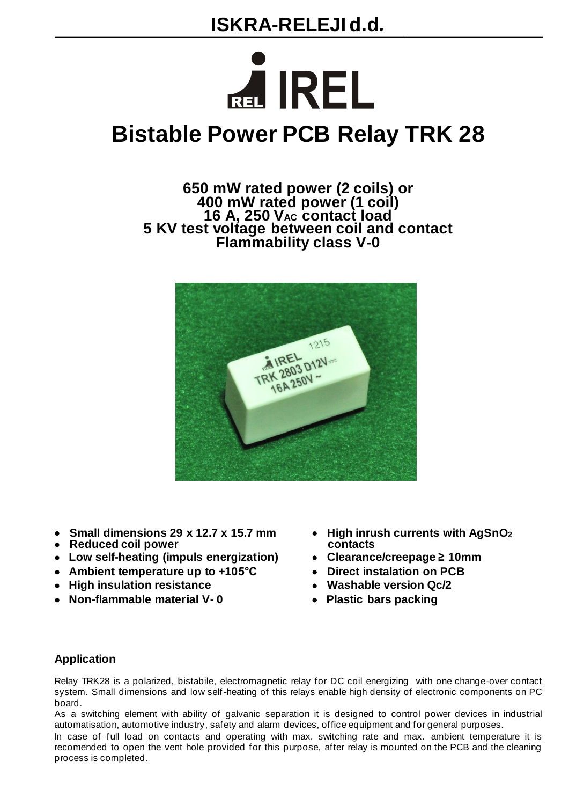

# **Bistable Power PCB Relay TRK 28**

**650 mW rated power (2 coils) or 400 mW rated power (1 coil) 16 A, 250 VAC contact load 5 KV test voltage between coil and contact Flammability class V-0**



- • **Small dimensions 29 x 12.7 x 15.7 mm** • **High inrush currents with AgSnO<sup>2</sup>**
- • **Reduced coil power contacts**
- • **Low self-heating (impuls energization)** • **Clearance/creepage ≥ 10mm**
- • **Ambient temperature up to +105°C** • **Direct instalation on PCB**
- • **High insulation resistance** • **Washable version Qc/2**
- • **Non-flammable material V- 0** • **Plastic bars packing**
- 
- 
- 
- 
- 

#### **Application**

Relay TRK28 is a polarized, bistabile, electromagnetic relay for DC coil energizing with one change-over contact system. Small dimensions and low self-heating of this relays enable high density of electronic components on PC board.

As a switching element with ability of galvanic separation it is designed to control power devices in industrial automatisation, automotive industry, safety and alarm devices, office equipment and for general purposes.

In case of full load on contacts and operating with max. switching rate and max. ambient temperature it is recomended to open the vent hole provided for this purpose, after relay is mounted on the PCB and the cleaning process is completed.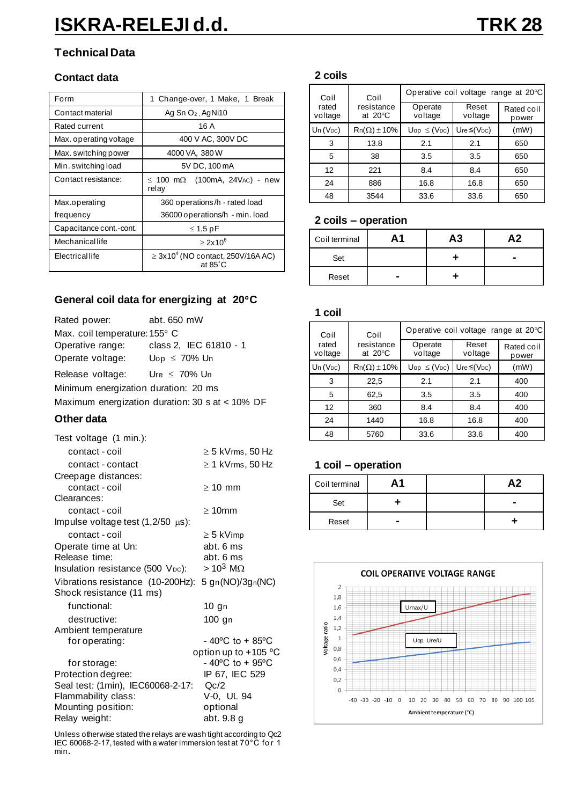## **Technical Data**

#### **Contact data**

| Form                    | 1 Change-over, 1 Make, 1 Break                                        |  |  |
|-------------------------|-----------------------------------------------------------------------|--|--|
| Contact material        | Ag Sn $O_2$ , Ag Ni10                                                 |  |  |
| Rated current           | 16 A                                                                  |  |  |
| Max. operating voltage  | 400 V AC, 300V DC                                                     |  |  |
| Max. switching power    | 4000 VA, 380 W                                                        |  |  |
| Min. switching load     | 5V DC, 100 mA                                                         |  |  |
| Contact resistance:     | $\leq$ 100 m $\Omega$ (100mA, 24Vac) - new<br>relay                   |  |  |
| Max.operating           | 360 operations/h - rated load                                         |  |  |
| frequency               | 36000 operations/h - min. load                                        |  |  |
| Capacitance cont.-cont. | $\leq 1.5$ pF                                                         |  |  |
| Mechanicallife          | $>2x10^6$                                                             |  |  |
| Electricallife          | $\geq$ 3x10 <sup>4</sup> (NO contact, 250V/16A AC)<br>at $85^\circ$ C |  |  |

### **General coil data for energizing at 20C**

| Rated power:                                    | abt. 650 mW            |  |  |
|-------------------------------------------------|------------------------|--|--|
| Max. coil temperature: 155° C                   |                        |  |  |
| Operative range:                                | class 2, IEC 61810 - 1 |  |  |
| Operate voltage:                                | $Up \leq 70\%$ Un      |  |  |
| Release voltage:                                | Ure $\leq 70\%$ Un     |  |  |
| Minimum energization duration: 20 ms            |                        |  |  |
| Maximum energization duration: 30 s at < 10% DF |                        |  |  |

#### **Other data**

| Test voltage (1 min.):                                                         |                                      |
|--------------------------------------------------------------------------------|--------------------------------------|
| contact - coil                                                                 | $\geq$ 5 kVrms, 50 Hz                |
| contact - contact                                                              | $\geq 1$ kVrms, 50 Hz                |
| Creepage distances:                                                            |                                      |
| contact - coil                                                                 | $\geq 10$ mm                         |
| Clearances:                                                                    |                                      |
| contact - coil                                                                 | $\geq 10$ mm                         |
| Impulse voltage test $(1,2/50 \mu s)$ :                                        |                                      |
| contact - coil                                                                 | $\geq$ 5 kVimp                       |
| Operate time at Un:                                                            | abt. 6 ms                            |
| Release time:                                                                  | abt. 6 ms                            |
| Insulation resistance (500 V <sub>DC</sub> ):                                  | $> 10^3$ M $\Omega$                  |
| Vibrations resistance (10-200Hz): 5 gn(NO)/3gn(NC)<br>Shock resistance (11 ms) |                                      |
| functional:                                                                    | 10 gn                                |
| destructive:                                                                   | 100 gn                               |
| Ambient temperature                                                            |                                      |
| for operating:                                                                 | $-40^{\circ}$ C to + 85 $^{\circ}$ C |
|                                                                                | option up to +105 °C                 |
| for storage:                                                                   | - 40°C to + 95°C                     |
| Protection degree:                                                             | IP 67, IEC 529                       |
| Seal test: (1min), IEC60068-2-17:                                              | Qc/2                                 |
| Flammability class:                                                            | V-0, UL 94                           |
| Mounting position:                                                             | optional                             |
| Relay weight:                                                                  | abt. 9.8 g                           |

Unless otherwise stated the relays are wash tight according to Qc2 IEC 60068-2-17, tested with a water immersion test at 70°C fo r 1 min**.**

#### **2 coils**

| Coil<br>Coil     | Operative coil voltage range at 20°C |                                    |                               |                     |
|------------------|--------------------------------------|------------------------------------|-------------------------------|---------------------|
| rated<br>voltage | resistance<br>at $20^{\circ}$ C      | Operate<br>voltage                 | Reset<br>voltage              | Rated coil<br>power |
| $Un (V_{DC})$    | $Rn(\Omega) \pm 10\%$                | $\mathsf{Uop} \leq (\mathsf{VDC})$ | Ure $\leq$ (V <sub>DC</sub> ) | (mW)                |
| 3                | 13.8                                 | 2.1                                | 2.1                           | 650                 |
| 5                | 38                                   | 3.5                                | 3.5                           | 650                 |
| 12               | 221                                  | 8.4                                | 8.4                           | 650                 |
| 24               | 886                                  | 16.8                               | 16.8                          | 650                 |
| 48               | 3544                                 | 33.6                               | 33.6                          | 650                 |

#### **2 coils – operation**

| Coil terminal | Α1 | А3 | Α2 |
|---------------|----|----|----|
| Set           |    |    |    |
| Reset         | -  |    |    |

#### **1 coil**

| Coil             | Coil                            | Operative coil voltage range at 20°C |                               |                     |
|------------------|---------------------------------|--------------------------------------|-------------------------------|---------------------|
| rated<br>voltage | resistance<br>at $20^{\circ}$ C | Operate<br>voltage                   | Reset<br>voltage              | Rated coil<br>power |
| $Un (V_{DC})$    | $Rn(\Omega) \pm 10\%$           | $\mathsf{Uop} \leq (\mathsf{VDC})$   | Ure $\leq$ (V <sub>DC</sub> ) | (mW)                |
| 3                | 22,5                            | 2.1                                  | 2.1                           | 400                 |
| 5                | 62,5                            | 3.5                                  | 3.5                           | 400                 |
| 12               | 360                             | 8.4                                  | 8.4                           | 400                 |
| 24               | 1440                            | 16.8                                 | 16.8                          | 400                 |
| 48               | 5760                            | 33.6                                 | 33.6                          | 400                 |

#### **1 coil – operation**

| Coil terminal | Α1 | Α2 |
|---------------|----|----|
| Set           |    |    |
| Reset         | -  |    |